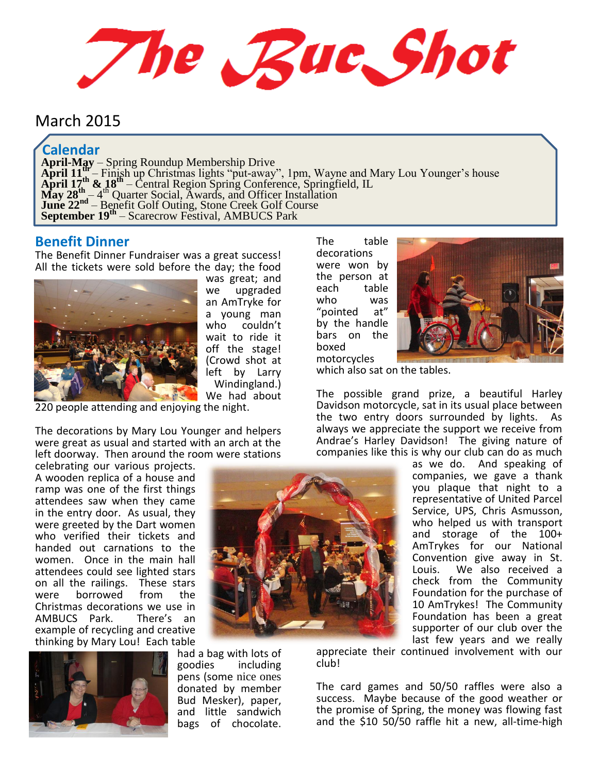The Buc Shot

# March 2015

# **Calendar**

 **April-May** – Spring Roundup Membership Drive  **April 11th** – Finish up Christmas lights "put-away", 1pm, Wayne and Mary Lou Younger's house  **April 17th & 18th** – Central Region Spring Conference, Springfield, IL **May 28**<sup>th</sup><sub>-1</sub><sup>4th</sup> Quarter Social, Awards, and Officer Installation  **June 22nd** – Benefit Golf Outing, Stone Creek Golf Course **September 19<sup>th</sup>** – Scarecrow Festival, AMBUCS Park

# **Benefit Dinner**

The Benefit Dinner Fundraiser was a great success! All the tickets were sold before the day; the food



was great; and we upgraded an AmTryke for a young man who couldn't wait to ride it off the stage! (Crowd shot at left by Larry Windingland.) We had about

220 people attending and enjoying the night.

The decorations by Mary Lou Younger and helpers were great as usual and started with an arch at the left doorway. Then around the room were stations

celebrating our various projects. A wooden replica of a house and ramp was one of the first things attendees saw when they came in the entry door. As usual, they were greeted by the Dart women who verified their tickets and handed out carnations to the women. Once in the main hall attendees could see lighted stars on all the railings. These stars were borrowed from the Christmas decorations we use in AMBUCS Park. There's an example of recycling and creative thinking by Mary Lou! Each table



had a bag with lots of<br>goodies including including pens (some nice ones donated by member Bud Mesker), paper, and little sandwich bags of chocolate.

The table decorations were won by the person at each table who was "pointed at" by the handle bars on the boxed motorcycles



which also sat on the tables.

The possible grand prize, a beautiful Harley Davidson motorcycle, sat in its usual place between the two entry doors surrounded by lights. As always we appreciate the support we receive from Andrae's Harley Davidson! The giving nature of companies like this is why our club can do as much

> as we do. And speaking of companies, we gave a thank you plaque that night to a representative of United Parcel Service, UPS, Chris Asmusson, who helped us with transport and storage of the 100+ AmTrykes for our National Convention give away in St. Louis. We also received a check from the Community Foundation for the purchase of 10 AmTrykes! The Community Foundation has been a great supporter of our club over the last few years and we really

appreciate their continued involvement with our club!

The card games and 50/50 raffles were also a success. Maybe because of the good weather or the promise of Spring, the money was flowing fast and the \$10 50/50 raffle hit a new, all-time-high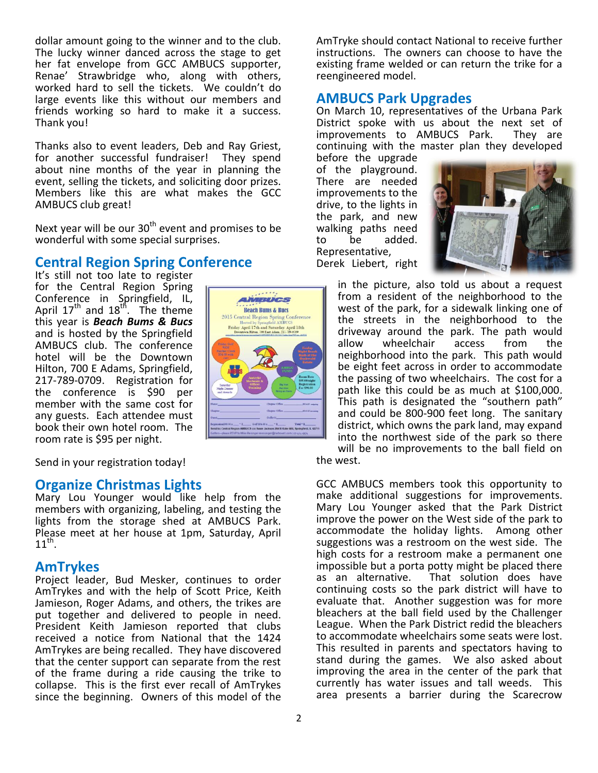dollar amount going to the winner and to the club. The lucky winner danced across the stage to get her fat envelope from GCC AMBUCS supporter, Renae' Strawbridge who, along with others, worked hard to sell the tickets. We couldn't do large events like this without our members and friends working so hard to make it a success. Thank you!

Thanks also to event leaders, Deb and Ray Griest, for another successful fundraiser! They spend about nine months of the year in planning the event, selling the tickets, and soliciting door prizes. Members like this are what makes the GCC AMBUCS club great!

Next year will be our  $30<sup>th</sup>$  event and promises to be wonderful with some special surprises.

# **Central Region Spring Conference**

It's still not too late to register for the Central Region Spring Conference in Springfield, IL, April  $17^{\text{th}}$  and  $18^{\text{th}}$ . The theme this year is *Beach Bums & Bucs* and is hosted by the Springfield AMBUCS club. The conference hotel will be the Downtown Hilton, 700 E Adams, Springfield, 217-789-0709. Registration for the conference is \$90 per member with the same cost for any guests. Each attendee must book their own hotel room. The room rate is \$95 per night.

Send in your registration today!

### **Organize Christmas Lights**

Mary Lou Younger would like help from the members with organizing, labeling, and testing the lights from the storage shed at AMBUCS Park. Please meet at her house at 1pm, Saturday, April  $11^{\text{th}}$ .

### **AmTrykes**

Project leader, Bud Mesker, continues to order AmTrykes and with the help of Scott Price, Keith Jamieson, Roger Adams, and others, the trikes are put together and delivered to people in need. President Keith Jamieson reported that clubs received a notice from National that the 1424 AmTrykes are being recalled. They have discovered that the center support can separate from the rest of the frame during a ride causing the trike to collapse. This is the first ever recall of AmTrykes since the beginning. Owners of this model of the



AmTryke should contact National to receive further instructions. The owners can choose to have the existing frame welded or can return the trike for a reengineered model.

# **AMBUCS Park Upgrades**

On March 10, representatives of the Urbana Park District spoke with us about the next set of improvements to AMBUCS Park. They are continuing with the master plan they developed

before the upgrade of the playground. There are needed improvements to the drive, to the lights in the park, and new walking paths need to be added. Representative, Derek Liebert, right



in the picture, also told us about a request from a resident of the neighborhood to the west of the park, for a sidewalk linking one of the streets in the neighborhood to the driveway around the park. The path would<br>allow wheelchair access from the allow wheelchair access from the neighborhood into the park. This path would be eight feet across in order to accommodate the passing of two wheelchairs. The cost for a path like this could be as much at \$100,000. This path is designated the "southern path" and could be 800-900 feet long. The sanitary district, which owns the park land, may expand into the northwest side of the park so there will be no improvements to the ball field on

the west.

GCC AMBUCS members took this opportunity to make additional suggestions for improvements. Mary Lou Younger asked that the Park District improve the power on the West side of the park to accommodate the holiday lights. Among other suggestions was a restroom on the west side. The high costs for a restroom make a permanent one impossible but a porta potty might be placed there<br>as an alternative. That solution does have That solution does have continuing costs so the park district will have to evaluate that. Another suggestion was for more bleachers at the ball field used by the Challenger League. When the Park District redid the bleachers to accommodate wheelchairs some seats were lost. This resulted in parents and spectators having to stand during the games. We also asked about improving the area in the center of the park that currently has water issues and tall weeds. This area presents a barrier during the Scarecrow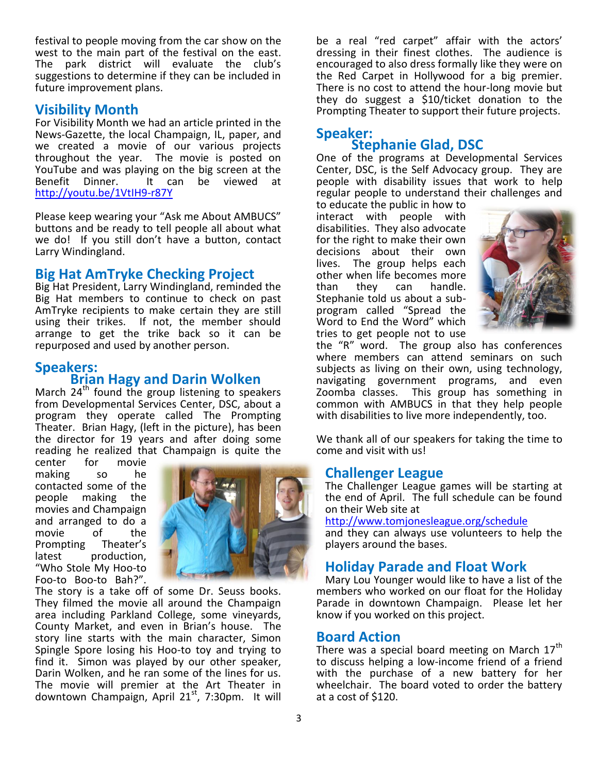festival to people moving from the car show on the west to the main part of the festival on the east. The park district will evaluate the club's suggestions to determine if they can be included in future improvement plans.

## **Visibility Month**

For Visibility Month we had an article printed in the News-Gazette, the local Champaign, IL, paper, and we created a movie of our various projects throughout the year. The movie is posted on YouTube and was playing on the big screen at the Benefit Dinner. It can be viewed at [http://youtu.be/1VtIH9-r87Y](https://webmail.illinois.edu/owa/redir.aspx?SURL=TNbLjIX9mK9_tXqBGPdHAUnBO6pJ4sqUAYdZdBay0TjDEhqxdzvSCGgAdAB0AHAAOgAvAC8AeQBvAHUAdAB1AC4AYgBlAC8AMQBWAHQASQBIADkALQByADgANwBZAA..&URL=http%3a%2f%2fyoutu.be%2f1VtIH9-r87Y)

Please keep wearing your "Ask me About AMBUCS" buttons and be ready to tell people all about what we do! If you still don't have a button, contact Larry Windingland.

# **Big Hat AmTryke Checking Project**

Big Hat President, Larry Windingland, reminded the Big Hat members to continue to check on past AmTryke recipients to make certain they are still using their trikes. If not, the member should arrange to get the trike back so it can be repurposed and used by another person.

### **Speakers:**

# **Brian Hagy and Darin Wolken**

March  $24<sup>th</sup>$  found the group listening to speakers from Developmental Services Center, DSC, about a program they operate called The Prompting Theater. Brian Hagy, (left in the picture), has been the director for 19 years and after doing some reading he realized that Champaign is quite the center for movie

center for movie making so he contacted some of the people making the movies and Champaign and arranged to do a movie of the Prompting Theater's latest production, "Who Stole My Hoo-to Foo-to Boo-to Bah?".



The story is a take off of some Dr. Seuss books. They filmed the movie all around the Champaign area including Parkland College, some vineyards, County Market, and even in Brian's house. The story line starts with the main character, Simon Spingle Spore losing his Hoo-to toy and trying to find it. Simon was played by our other speaker, Darin Wolken, and he ran some of the lines for us. The movie will premier at the Art Theater in downtown Champaign, April  $21<sup>st</sup>$ , 7:30pm. It will

be a real "red carpet" affair with the actors' dressing in their finest clothes. The audience is encouraged to also dress formally like they were on the Red Carpet in Hollywood for a big premier. There is no cost to attend the hour-long movie but they do suggest a \$10/ticket donation to the Prompting Theater to support their future projects.

### **Speaker: Stephanie Glad, DSC**

One of the programs at Developmental Services Center, DSC, is the Self Advocacy group. They are people with disability issues that work to help regular people to understand their challenges and

to educate the public in how to interact with people with disabilities. They also advocate for the right to make their own decisions about their own lives. The group helps each other when life becomes more than they can handle. Stephanie told us about a subprogram called "Spread the Word to End the Word" which tries to get people not to use



the "R" word. The group also has conferences where members can attend seminars on such subjects as living on their own, using technology, navigating government programs, and even Zoomba classes. This group has something in common with AMBUCS in that they help people with disabilities to live more independently, too.

We thank all of our speakers for taking the time to come and visit with us!

### **Challenger League**

The Challenger League games will be starting at the end of April. The full schedule can be found on their Web site at

#### <http://www.tomjonesleague.org/schedule>

and they can always use volunteers to help the players around the bases.

# **Holiday Parade and Float Work**

Mary Lou Younger would like to have a list of the members who worked on our float for the Holiday Parade in downtown Champaign. Please let her know if you worked on this project.

### **Board Action**

There was a special board meeting on March  $17<sup>th</sup>$ to discuss helping a low-income friend of a friend with the purchase of a new battery for her wheelchair. The board voted to order the battery at a cost of \$120.